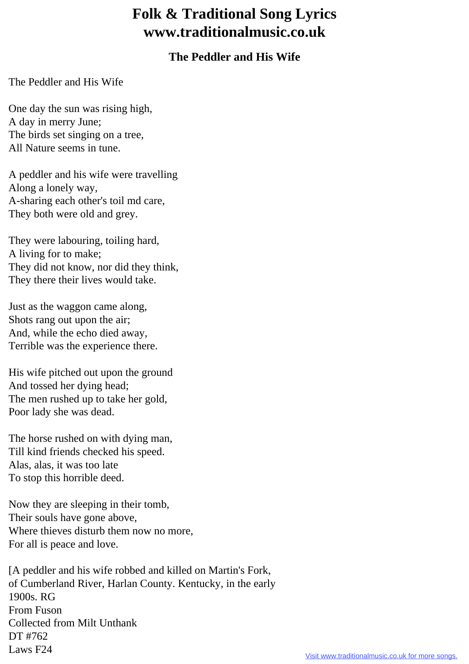## **Folk & Traditional Song Lyrics www.traditionalmusic.co.uk**

## **The Peddler and His Wife**

The Peddler and His Wife

One day the sun was rising high, A day in merry June; The birds set singing on a tree, All Nature seems in tune.

A peddler and his wife were travelling Along a lonely way, A-sharing each other's toil md care, They both were old and grey.

They were labouring, toiling hard, A living for to make; They did not know, nor did they think, They there their lives would take.

Just as the waggon came along, Shots rang out upon the air; And, while the echo died away, Terrible was the experience there.

His wife pitched out upon the ground And tossed her dying head; The men rushed up to take her gold, Poor lady she was dead.

The horse rushed on with dying man, Till kind friends checked his speed. Alas, alas, it was too late To stop this horrible deed.

Now they are sleeping in their tomb, Their souls have gone above, Where thieves disturb them now no more, For all is peace and love.

[A peddler and his wife robbed and killed on Martin's Fork, of Cumberland River, Harlan County. Kentucky, in the early 1900s. RG From Fuson Collected from Milt Unthank DT #762 Laws F24